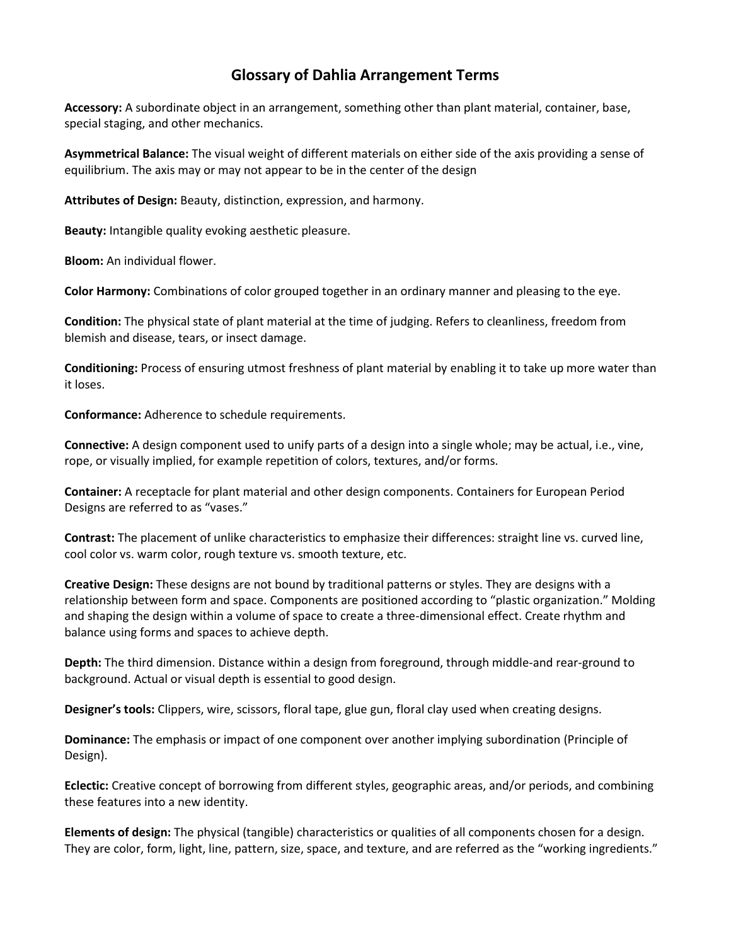## **Glossary of Dahlia Arrangement Terms**

**Accessory:** A subordinate object in an arrangement, something other than plant material, container, base, special staging, and other mechanics.

**Asymmetrical Balance:** The visual weight of different materials on either side of the axis providing a sense of equilibrium. The axis may or may not appear to be in the center of the design

**Attributes of Design:** Beauty, distinction, expression, and harmony.

**Beauty:** Intangible quality evoking aesthetic pleasure.

**Bloom:** An individual flower.

**Color Harmony:** Combinations of color grouped together in an ordinary manner and pleasing to the eye.

**Condition:** The physical state of plant material at the time of judging. Refers to cleanliness, freedom from blemish and disease, tears, or insect damage.

**Conditioning:** Process of ensuring utmost freshness of plant material by enabling it to take up more water than it loses.

**Conformance:** Adherence to schedule requirements.

**Connective:** A design component used to unify parts of a design into a single whole; may be actual, i.e., vine, rope, or visually implied, for example repetition of colors, textures, and/or forms.

**Container:** A receptacle for plant material and other design components. Containers for European Period Designs are referred to as "vases."

**Contrast:** The placement of unlike characteristics to emphasize their differences: straight line vs. curved line, cool color vs. warm color, rough texture vs. smooth texture, etc.

**Creative Design:** These designs are not bound by traditional patterns or styles. They are designs with a relationship between form and space. Components are positioned according to "plastic organization." Molding and shaping the design within a volume of space to create a three-dimensional effect. Create rhythm and balance using forms and spaces to achieve depth.

**Depth:** The third dimension. Distance within a design from foreground, through middle-and rear-ground to background. Actual or visual depth is essential to good design.

**Designer's tools:** Clippers, wire, scissors, floral tape, glue gun, floral clay used when creating designs.

**Dominance:** The emphasis or impact of one component over another implying subordination (Principle of Design).

**Eclectic:** Creative concept of borrowing from different styles, geographic areas, and/or periods, and combining these features into a new identity.

**Elements of design:** The physical (tangible) characteristics or qualities of all components chosen for a design. They are color, form, light, line, pattern, size, space, and texture, and are referred as the "working ingredients."